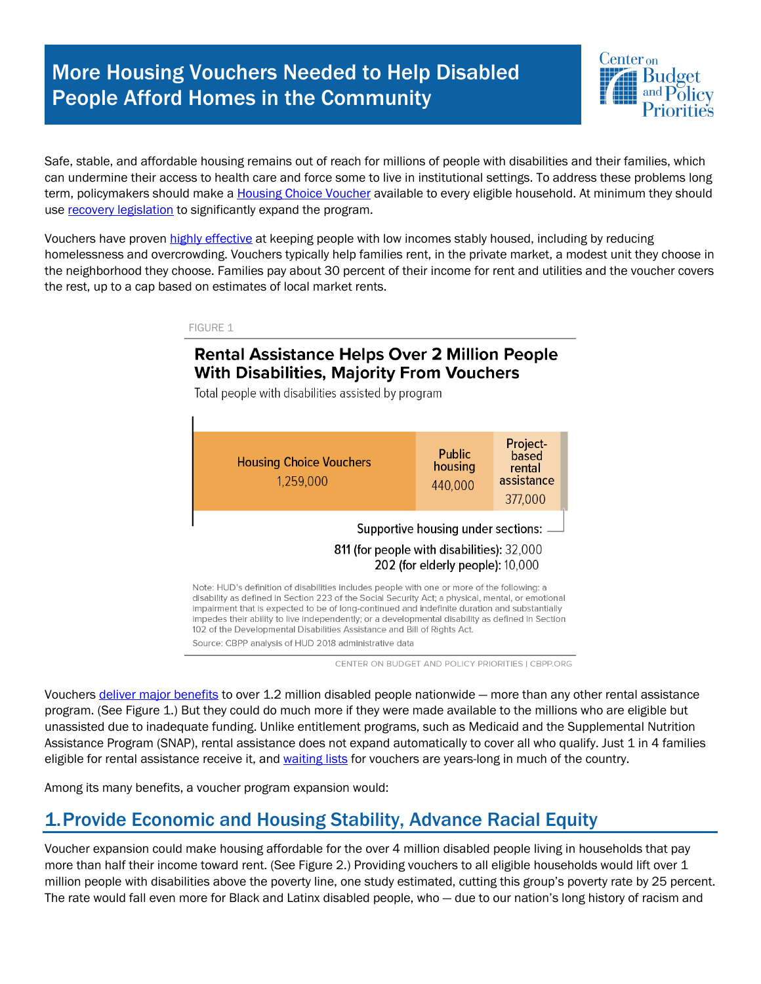# More Housing Vouchers Needed to Help Disabled People Afford Homes in the Community



Safe, stable, and affordable housing remains out of reach for millions of people with disabilities and their families, which can undermine their access to health care and force some to live in institutional settings. To address these problems long term, policymakers should make a Housing Choice Voucher available to every eligible household. At minimum they should use recovery legislation to significantly expand the program.

Vouchers have proven highly effective at keeping people with low incomes stably housed, including by reducing homelessness and overcrowding. Vouchers typically help families rent, in the private market, a modest unit they choose in the neighborhood they choose. Families pay about 30 percent of their income for rent and utilities and the voucher covers the rest, up to a cap based on estimates of local market rents.

FIGURE 1

#### **Rental Assistance Helps Over 2 Million People With Disabilities, Majority From Vouchers**

Total people with disabilities assisted by program

| <b>Housing Choice Vouchers</b><br>1,259,000                                                                                                                                                                                                                                                                                                                                                                                                                                                                                                | <b>Public</b><br>housing<br>440,000 | Project-<br>based<br>rental<br>assistance<br>377,000 |
|--------------------------------------------------------------------------------------------------------------------------------------------------------------------------------------------------------------------------------------------------------------------------------------------------------------------------------------------------------------------------------------------------------------------------------------------------------------------------------------------------------------------------------------------|-------------------------------------|------------------------------------------------------|
| Supportive housing under sections:<br>811 (for people with disabilities): 32,000<br>202 (for elderly people): 10,000                                                                                                                                                                                                                                                                                                                                                                                                                       |                                     |                                                      |
| Note: HUD's definition of disabilities includes people with one or more of the following: a<br>disability as defined in Section 223 of the Social Security Act; a physical, mental, or emotional<br>impairment that is expected to be of long-continued and indefinite duration and substantially<br>impedes their ability to live independently; or a developmental disability as defined in Section<br>102 of the Developmental Disabilities Assistance and Bill of Rights Act.<br>Source: CBPP analysis of HUD 2018 administrative data |                                     |                                                      |

CENTER ON BUDGET AND POLICY PRIORITIES | CBPP.ORG

Vouchers deliver major benefits to over 1.2 million disabled people nationwide — more than any other rental assistance program. (See Figure 1.) But they could do much more if they were made available to the millions who are eligible but unassisted due to inadequate funding. Unlike entitlement programs, such as Medicaid and the Supplemental Nutrition Assistance Program (SNAP), rental assistance does not expand automatically to cover all who qualify. Just 1 in 4 families eligible for rental assistance receive it, and waiting lists for vouchers are years-long in much of the country.

Among its many benefits, a voucher program expansion would:

# 1.Provide Economic and Housing Stability, Advance Racial Equity

Voucher expansion could make housing affordable for the over 4 million disabled people living in households that pay more than half their income toward rent. (See Figure 2.) Providing vouchers to all eligible households would lift over 1 million people with disabilities above the poverty line, one study estimated, cutting this group's poverty rate by 25 percent. The rate would fall even more for Black and Latinx disabled people, who — due to our nation's long history of racism and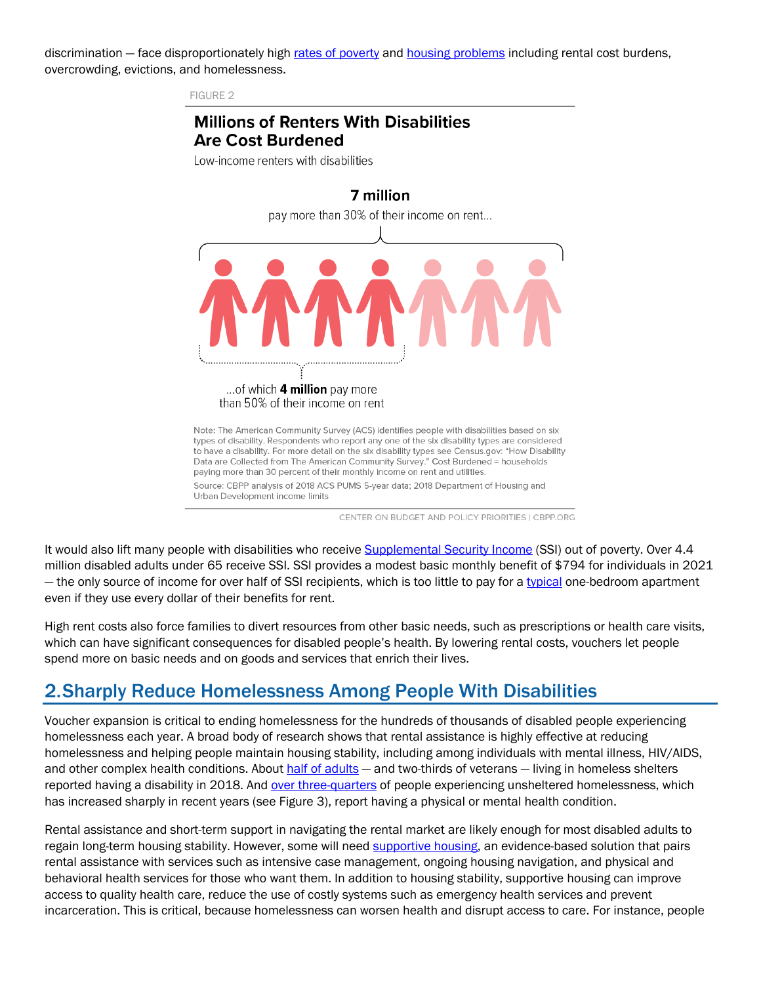discrimination – face disproportionately high rates of poverty and housing problems including rental cost burdens, overcrowding, evictions, and homelessness.

FIGURE 2

#### **Millions of Renters With Disabilities Are Cost Burdened**

Low-income renters with disabilities



CENTER ON BUDGET AND POLICY PRIORITIES | CBPP.ORG

It would also lift many people with disabilities who receive Supplemental Security Income (SSI) out of poverty. Over 4.4 million disabled adults under 65 receive SSI. SSI provides a modest basic monthly benefit of \$794 for individuals in 2021 — the only source of income for over half of SSI recipients, which is too little to pay for a typical one-bedroom apartment even if they use every dollar of their benefits for rent.

High rent costs also force families to divert resources from other basic needs, such as prescriptions or health care visits, which can have significant consequences for disabled people's health. By lowering rental costs, vouchers let people spend more on basic needs and on goods and services that enrich their lives.

### 2.Sharply Reduce Homelessness Among People With Disabilities

Voucher expansion is critical to ending homelessness for the hundreds of thousands of disabled people experiencing homelessness each year. A broad body of research shows that rental assistance is highly effective at reducing homelessness and helping people maintain housing stability, including among individuals with mental illness, HIV/AIDS, and other complex health conditions. About half of adults — and two-thirds of veterans — living in homeless shelters reported having a disability in 2018. And over three-quarters of people experiencing unsheltered homelessness, which has increased sharply in recent years (see Figure 3), report having a physical or mental health condition.

Rental assistance and short-term support in navigating the rental market are likely enough for most disabled adults to regain long-term housing stability. However, some will need supportive housing, an evidence-based solution that pairs rental assistance with services such as intensive case management, ongoing housing navigation, and physical and behavioral health services for those who want them. In addition to housing stability, supportive housing can improve access to quality health care, reduce the use of costly systems such as emergency health services and prevent incarceration. This is critical, because homelessness can worsen health and disrupt access to care. For instance, people